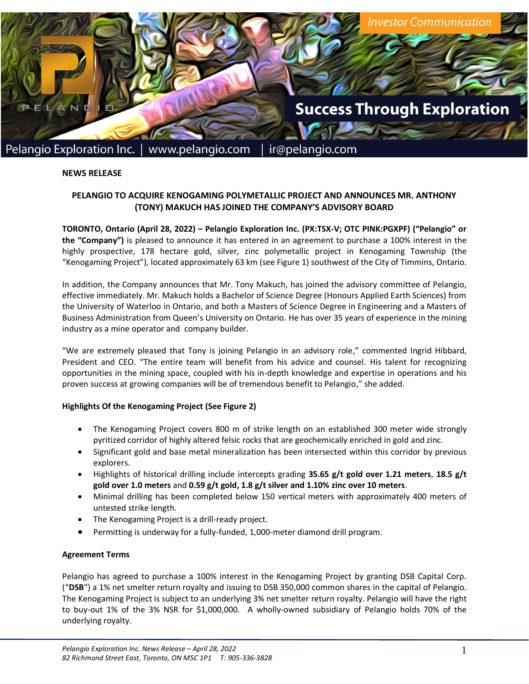

### **NEWS RELEASE**

# **PELANGIO TO ACQUIRE KENOGAMING POLYMETALLIC PROJECT AND ANNOUNCES MR. ANTHONY (TONY) MAKUCH HAS JOINED THE COMPANY'S ADVISORY BOARD**

**TORONTO, Ontario (April 28, 2022) – Pelangio Exploration Inc. (PX:TSX-V; OTC PINK:PGXPF) ("Pelangio" or the "Company")** is pleased to announce it has entered in an agreement to purchase a 100% interest in the highly prospective, 178 hectare gold, silver, zinc polymetallic project in Kenogaming Township (the "Kenogaming Project"), located approximately 63 km (see Figure 1) southwest of the City of Timmins, Ontario.

In addition, the Company announces that Mr. Tony Makuch, has joined the advisory committee of Pelangio, effective immediately. Mr. Makuch holds a Bachelor of Science Degree (Honours Applied Earth Sciences) from the University of Waterloo in Ontario, and both a Masters of Science Degree in Engineering and a Masters of Business Administration from Queen's University on Ontario. He has over 35 years of experience in the mining industry as a mine operator and company builder.

"We are extremely pleased that Tony is joining Pelangio in an advisory role," commented Ingrid Hibbard, President and CEO. "The entire team will benefit from his advice and counsel. His talent for recognizing opportunities in the mining space, coupled with his in-depth knowledge and expertise in operations and his proven success at growing companies will be of tremendous benefit to Pelangio," she added.

### **Highlights Of the Kenogaming Project (See Figure 2)**

- The Kenogaming Project covers 800 m of strike length on an established 300 meter wide strongly pyritized corridor of highly altered felsic rocks that are geochemically enriched in gold and zinc.
- Significant gold and base metal mineralization has been intersected within this corridor by previous explorers.
- Highlights of historical drilling include intercepts grading **35.65 g/t gold over 1.21 meters**, **18.5 g/t gold over 1.0 meters** and **0.59 g/t gold, 1.8 g/t silver and 1.10% zinc over 10 meters**.
- Minimal drilling has been completed below 150 vertical meters with approximately 400 meters of untested strike length.
- The Kenogaming Project is a drill-ready project.
- Permitting is underway for a fully-funded, 1,000-meter diamond drill program.

### **Agreement Terms**

Pelangio has agreed to purchase a 100% interest in the Kenogaming Project by granting DSB Capital Corp. ("**DSB**") a 1% net smelter return royalty and issuing to DSB 350,000 common shares in the capital of Pelangio. The Kenogaming Project is subject to an underlying 3% net smelter return royalty. Pelangio will have the right to buy-out 1% of the 3% NSR for \$1,000,000. A wholly-owned subsidiary of Pelangio holds 70% of the underlying royalty.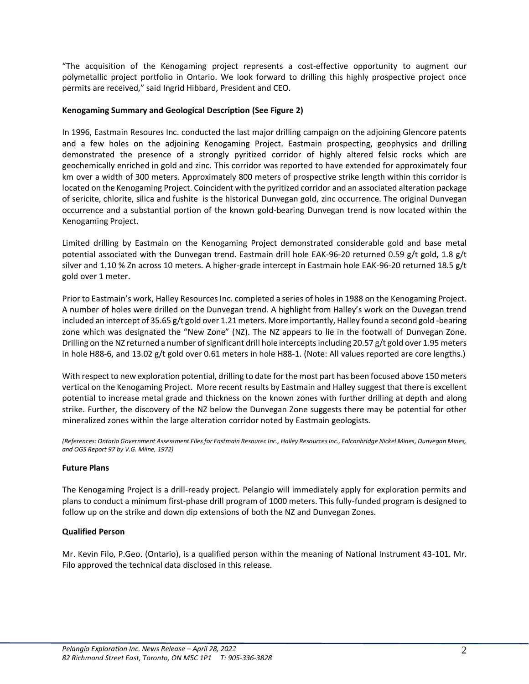"The acquisition of the Kenogaming project represents a cost-effective opportunity to augment our polymetallic project portfolio in Ontario. We look forward to drilling this highly prospective project once permits are received," said Ingrid Hibbard, President and CEO.

## **Kenogaming Summary and Geological Description (See Figure 2)**

In 1996, Eastmain Resoures Inc. conducted the last major drilling campaign on the adjoining Glencore patents and a few holes on the adjoining Kenogaming Project. Eastmain prospecting, geophysics and drilling demonstrated the presence of a strongly pyritized corridor of highly altered felsic rocks which are geochemically enriched in gold and zinc. This corridor was reported to have extended for approximately four km over a width of 300 meters. Approximately 800 meters of prospective strike length within this corridor is located on the Kenogaming Project. Coincident with the pyritized corridor and an associated alteration package of sericite, chlorite, silica and fushite is the historical Dunvegan gold, zinc occurrence. The original Dunvegan occurrence and a substantial portion of the known gold-bearing Dunvegan trend is now located within the Kenogaming Project.

Limited drilling by Eastmain on the Kenogaming Project demonstrated considerable gold and base metal potential associated with the Dunvegan trend. Eastmain drill hole EAK-96-20 returned 0.59 g/t gold, 1.8 g/t silver and 1.10 % Zn across 10 meters. A higher-grade intercept in Eastmain hole EAK-96-20 returned 18.5 g/t gold over 1 meter.

Prior to Eastmain's work, Halley Resources Inc. completed a series of holes in 1988 on the Kenogaming Project. A number of holes were drilled on the Dunvegan trend. A highlight from Halley's work on the Duvegan trend included an intercept of 35.65 g/t gold over 1.21 meters. More importantly, Halley found a second gold -bearing zone which was designated the "New Zone" (NZ). The NZ appears to lie in the footwall of Dunvegan Zone. Drilling on the NZ returned a number of significant drill hole intercepts including 20.57 g/t gold over 1.95 meters in hole H88-6, and 13.02 g/t gold over 0.61 meters in hole H88-1. (Note: All values reported are core lengths.)

With respect to new exploration potential, drilling to date for the most part has been focused above 150 meters vertical on the Kenogaming Project. More recent results by Eastmain and Halley suggest that there is excellent potential to increase metal grade and thickness on the known zones with further drilling at depth and along strike. Further, the discovery of the NZ below the Dunvegan Zone suggests there may be potential for other mineralized zones within the large alteration corridor noted by Eastmain geologists.

*(References: Ontario Government Assessment Files for Eastmain Resourec Inc., Halley Resources Inc., Falconbridge Nickel Mines, Dunvegan Mines, and OGS Report 97 by V.G. Milne, 1972)*

## **Future Plans**

The Kenogaming Project is a drill-ready project. Pelangio will immediately apply for exploration permits and plans to conduct a minimum first-phase drill program of 1000 meters. This fully-funded program is designed to follow up on the strike and down dip extensions of both the NZ and Dunvegan Zones.

### **Qualified Person**

Mr. Kevin Filo, P.Geo. (Ontario), is a qualified person within the meaning of National Instrument 43-101. Mr. Filo approved the technical data disclosed in this release.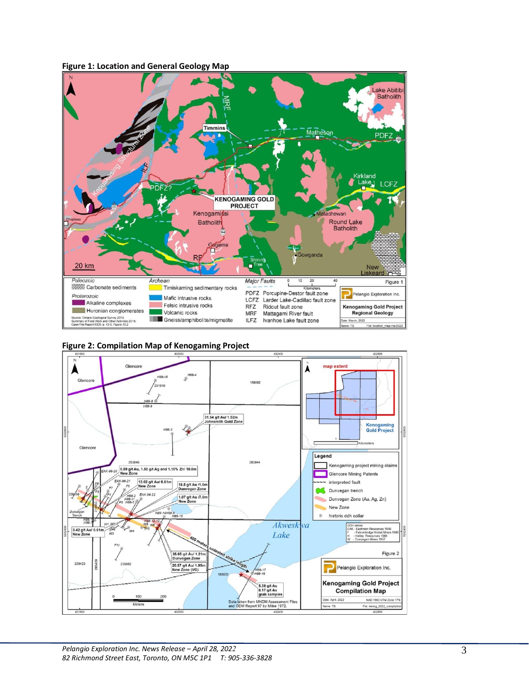